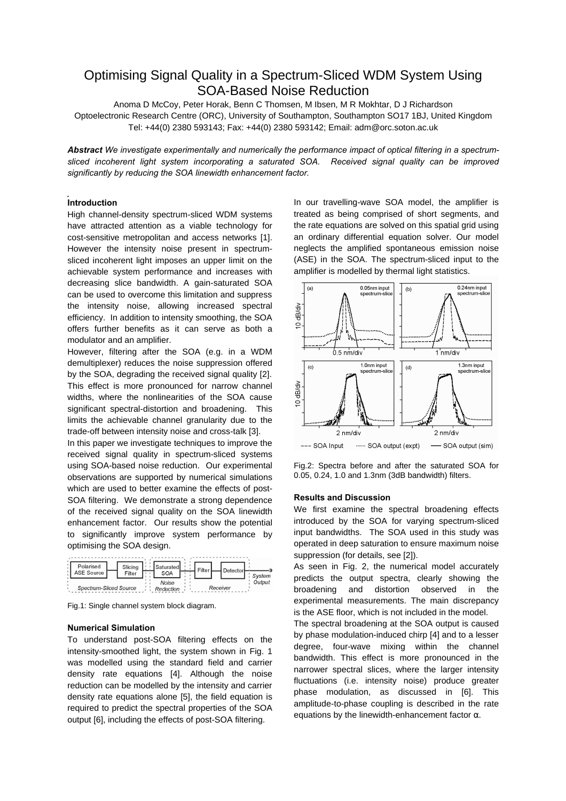# Optimising Signal Quality in a Spectrum-Sliced WDM System Using SOA-Based Noise Reduction

Anoma D McCoy, Peter Horak, Benn C Thomsen, M Ibsen, M R Mokhtar, D J Richardson Optoelectronic Research Centre (ORC), University of Southampton, Southampton SO17 1BJ, United Kingdom Tel: +44(0) 2380 593143; Fax: +44(0) 2380 593142; Email: adm@orc.soton.ac.uk

*Abstract We investigate experimentally and numerically the performance impact of optical filtering in a spectrumsliced incoherent light system incorporating a saturated SOA. Received signal quality can be improved significantly by reducing the SOA linewidth enhancement factor.* 

## **Introduction**

High channel-density spectrum-sliced WDM systems have attracted attention as a viable technology for cost-sensitive metropolitan and access networks [1]. However the intensity noise present in spectrumsliced incoherent light imposes an upper limit on the achievable system performance and increases with decreasing slice bandwidth. A gain-saturated SOA can be used to overcome this limitation and suppress the intensity noise, allowing increased spectral efficiency. In addition to intensity smoothing, the SOA offers further benefits as it can serve as both a modulator and an amplifier.

However, filtering after the SOA (e.g. in a WDM demultiplexer) reduces the noise suppression offered by the SOA, degrading the received signal quality [2]. This effect is more pronounced for narrow channel widths, where the nonlinearities of the SOA cause significant spectral-distortion and broadening. This limits the achievable channel granularity due to the trade-off between intensity noise and cross-talk [3].

In this paper we investigate techniques to improve the received signal quality in spectrum-sliced systems using SOA-based noise reduction. Our experimental observations are supported by numerical simulations which are used to better examine the effects of post-SOA filtering. We demonstrate a strong dependence of the received signal quality on the SOA linewidth enhancement factor. Our results show the potential to significantly improve system performance by optimising the SOA design.



Fig.1: Single channel system block diagram.

### **Numerical Simulation**

To understand post-SOA filtering effects on the intensity-smoothed light, the system shown in Fig. 1 was modelled using the standard field and carrier density rate equations [4]. Although the noise reduction can be modelled by the intensity and carrier density rate equations alone [5], the field equation is required to predict the spectral properties of the SOA output [6], including the effects of post-SOA filtering.

In our travelling-wave SOA model, the amplifier is treated as being comprised of short segments, and the rate equations are solved on this spatial grid using an ordinary differential equation solver. Our model neglects the amplified spontaneous emission noise (ASE) in the SOA. The spectrum-sliced input to the amplifier is modelled by thermal light statistics.



Fig.2: Spectra before and after the saturated SOA for 0.05, 0.24, 1.0 and 1.3nm (3dB bandwidth) filters.

### **Results and Discussion**

We first examine the spectral broadening effects introduced by the SOA for varying spectrum-sliced input bandwidths. The SOA used in this study was operated in deep saturation to ensure maximum noise suppression (for details, see [2]).

As seen in Fig. 2, the numerical model accurately predicts the output spectra, clearly showing the broadening and distortion observed in the experimental measurements. The main discrepancy is the ASE floor, which is not included in the model.

The spectral broadening at the SOA output is caused by phase modulation-induced chirp [4] and to a lesser degree, four-wave mixing within the channel bandwidth. This effect is more pronounced in the narrower spectral slices, where the larger intensity fluctuations (i.e. intensity noise) produce greater phase modulation, as discussed in [6]. This amplitude-to-phase coupling is described in the rate equations by the linewidth-enhancement factor  $α$ .